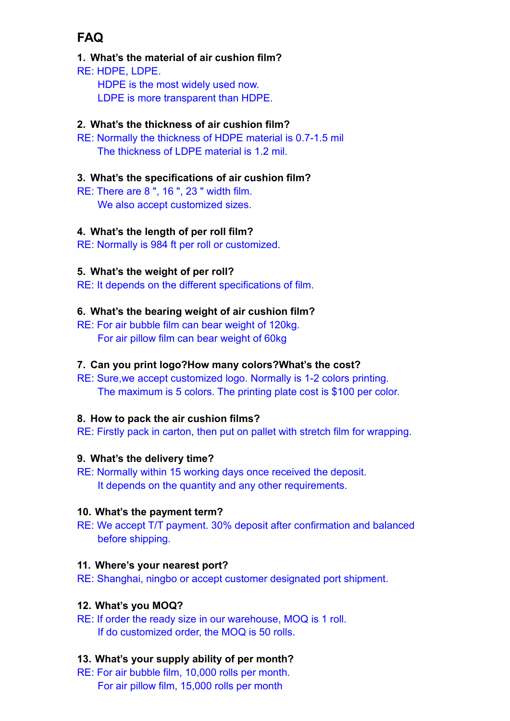# **FAQ**

# **1. What's the material of air cushion film?**

RE: HDPE, LDPE. HDPE is the most widely used now. LDPE is more transparent than HDPE.

# **2. What's the thickness of air cushion film?**

RE: Normally the thickness of HDPE material is 0.7-1.5 mil The thickness of LDPE material is 1.2 mil.

# **3. What's the specifications of air cushion film?**

RE: There are 8 ", 16 ", 23 " width film. We also accept customized sizes.

# **4. What's the length of per roll film?**

RE: Normally is 984 ft per roll or customized.

#### **5. What's the weight of per roll?**

RE: It depends on the different specifications of film.

# **6. What's the bearing weight of air cushion film?**

RE: For air bubble film can bear weight of 120kg. For air pillow film can bear weight of 60kg

#### **7. Can you print logo?How many colors?What's the cost?**

RE: Sure,we accept customized logo. Normally is 1-2 colors printing. The maximum is 5 colors. The printing plate cost is \$100 per color.

#### **8. How to pack the air cushion films?**

RE: Firstly pack in carton, then put on pallet with stretch film for wrapping.

#### **9. What's the delivery time?**

RE: Normally within 15 working days once received the deposit. It depends on the quantity and any other requirements.

#### **10. What's the payment term?**

RE: We accept T/T payment. 30% deposit after confirmation and balanced before shipping.

#### **11. Where's your nearest port?**

RE: Shanghai, ningbo or accept customer designated port shipment.

#### **12. What's you MOQ?**

RE: If order the ready size in our warehouse, MOQ is 1 roll. If do customized order, the MOQ is 50 rolls.

#### **13. What's your supply ability of per month?**

RE: For air bubble film, 10,000 rolls per month. For air pillow film, 15,000 rolls per month